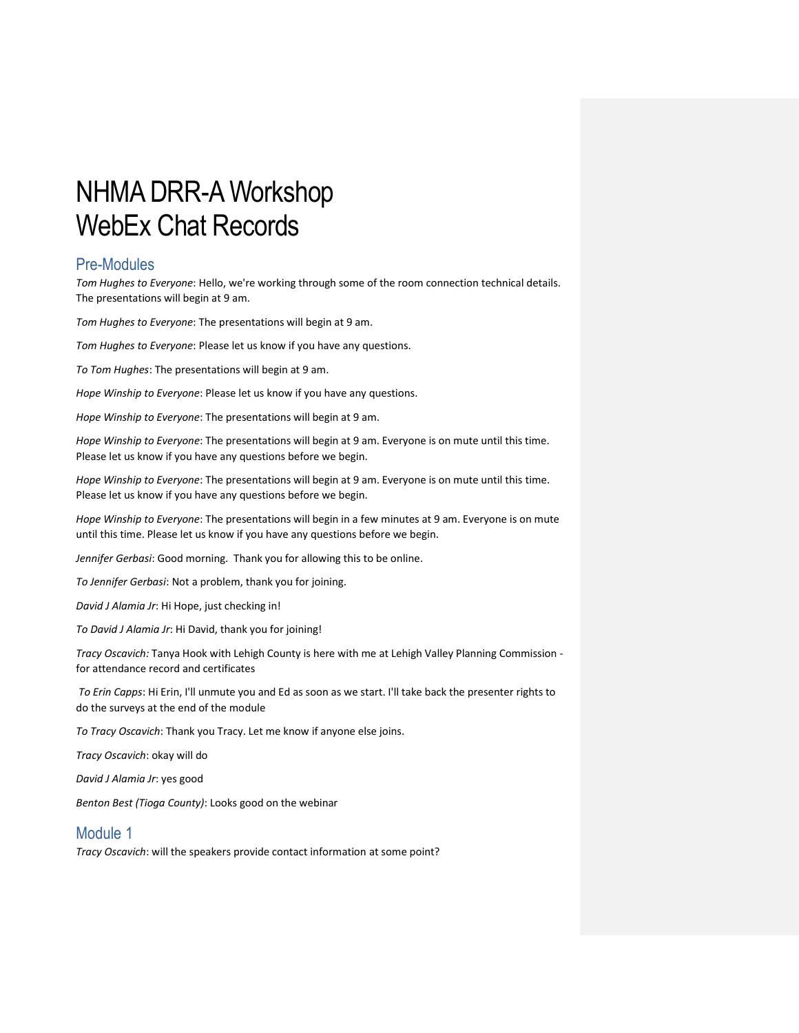# NHMA DRR-A Workshop WebEx Chat Records

# Pre-Modules

*Tom Hughes to Everyone*: Hello, we're working through some of the room connection technical details. The presentations will begin at 9 am.

*Tom Hughes to Everyone*: The presentations will begin at 9 am.

*Tom Hughes to Everyone*: Please let us know if you have any questions.

*To Tom Hughes*: The presentations will begin at 9 am.

*Hope Winship to Everyone*: Please let us know if you have any questions.

*Hope Winship to Everyone*: The presentations will begin at 9 am.

*Hope Winship to Everyone*: The presentations will begin at 9 am. Everyone is on mute until this time. Please let us know if you have any questions before we begin.

*Hope Winship to Everyone*: The presentations will begin at 9 am. Everyone is on mute until this time. Please let us know if you have any questions before we begin.

*Hope Winship to Everyone*: The presentations will begin in a few minutes at 9 am. Everyone is on mute until this time. Please let us know if you have any questions before we begin.

*Jennifer Gerbasi*: Good morning. Thank you for allowing this to be online.

*To Jennifer Gerbasi*: Not a problem, thank you for joining.

*David J Alamia Jr*: Hi Hope, just checking in!

*To David J Alamia Jr*: Hi David, thank you for joining!

*Tracy Oscavich:* Tanya Hook with Lehigh County is here with me at Lehigh Valley Planning Commission for attendance record and certificates

*To Erin Capps*: Hi Erin, I'll unmute you and Ed as soon as we start. I'll take back the presenter rights to do the surveys at the end of the module

*To Tracy Oscavich*: Thank you Tracy. Let me know if anyone else joins.

*Tracy Oscavich*: okay will do

*David J Alamia Jr*: yes good

*Benton Best (Tioga County)*: Looks good on the webinar

# Module 1

*Tracy Oscavich*: will the speakers provide contact information at some point?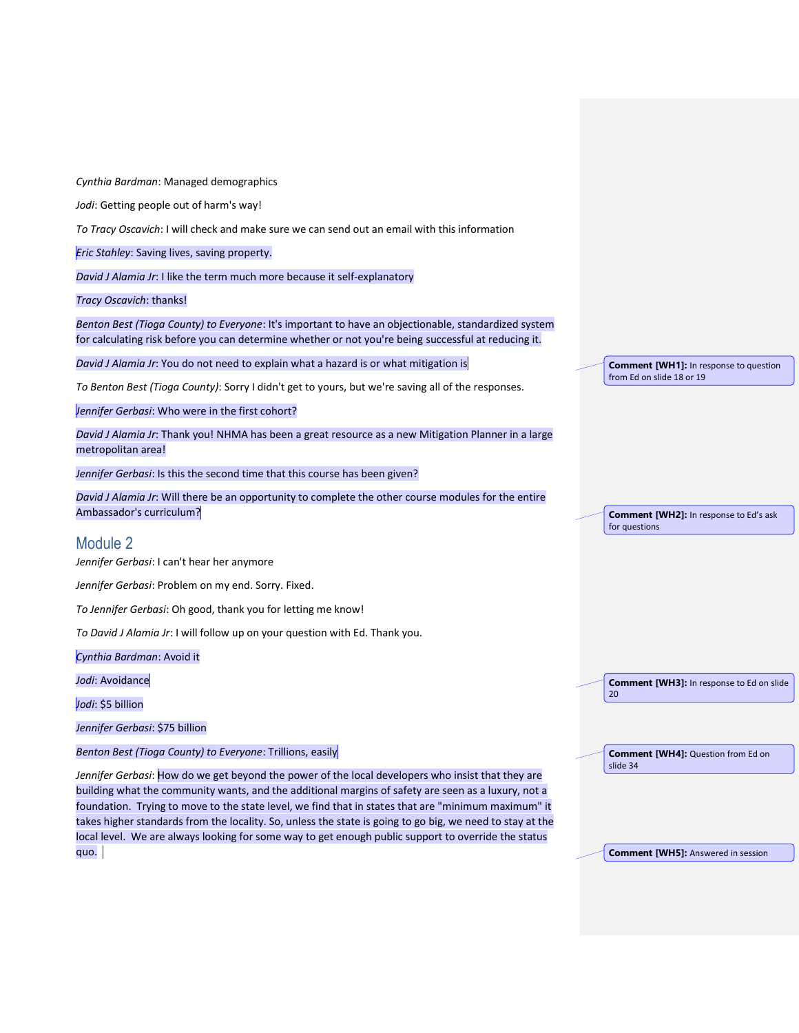*Cynthia Bardman*: Managed demographics

*Jodi*: Getting people out of harm's way!

*To Tracy Oscavich*: I will check and make sure we can send out an email with this information

*Eric Stahley*: Saving lives, saving property.

*David J Alamia Jr*: I like the term much more because it self-explanatory

*Tracy Oscavich*: thanks!

*Benton Best (Tioga County) to Everyone*: It's important to have an objectionable, standardized system for calculating risk before you can determine whether or not you're being successful at reducing it.

*David J Alamia Jr*: You do not need to explain what a hazard is or what mitigation is

*To Benton Best (Tioga County)*: Sorry I didn't get to yours, but we're saving all of the responses.

*Jennifer Gerbasi*: Who were in the first cohort?

*David J Alamia Jr*: Thank you! NHMA has been a great resource as a new Mitigation Planner in a large metropolitan area!

*Jennifer Gerbasi*: Is this the second time that this course has been given?

*David J Alamia Jr*: Will there be an opportunity to complete the other course modules for the entire Ambassador's curriculum?

#### Module 2

*Jennifer Gerbasi*: I can't hear her anymore

*Jennifer Gerbasi*: Problem on my end. Sorry. Fixed.

*To Jennifer Gerbasi*: Oh good, thank you for letting me know!

*To David J Alamia Jr*: I will follow up on your question with Ed. Thank you.

*Cynthia Bardman*: Avoid it

*Jodi*: Avoidance

*Jodi*: \$5 billion

*Jennifer Gerbasi*: \$75 billion

*Benton Best (Tioga County) to Everyone*: Trillions, easily

*Jennifer Gerbasi*: How do we get beyond the power of the local developers who insist that they are building what the community wants, and the additional margins of safety are seen as a luxury, not a foundation. Trying to move to the state level, we find that in states that are "minimum maximum" it takes higher standards from the locality. So, unless the state is going to go big, we need to stay at the local level. We are always looking for some way to get enough public support to override the status quo.

**Comment [WH1]:** In response to question from Ed on slide 18 or 19

**Comment [WH2]:** In response to Ed's ask for questions

**Comment [WH3]:** In response to Ed on slide

20

**Comment [WH4]:** Question from Ed on slide 34

**Comment [WH5]:** Answered in session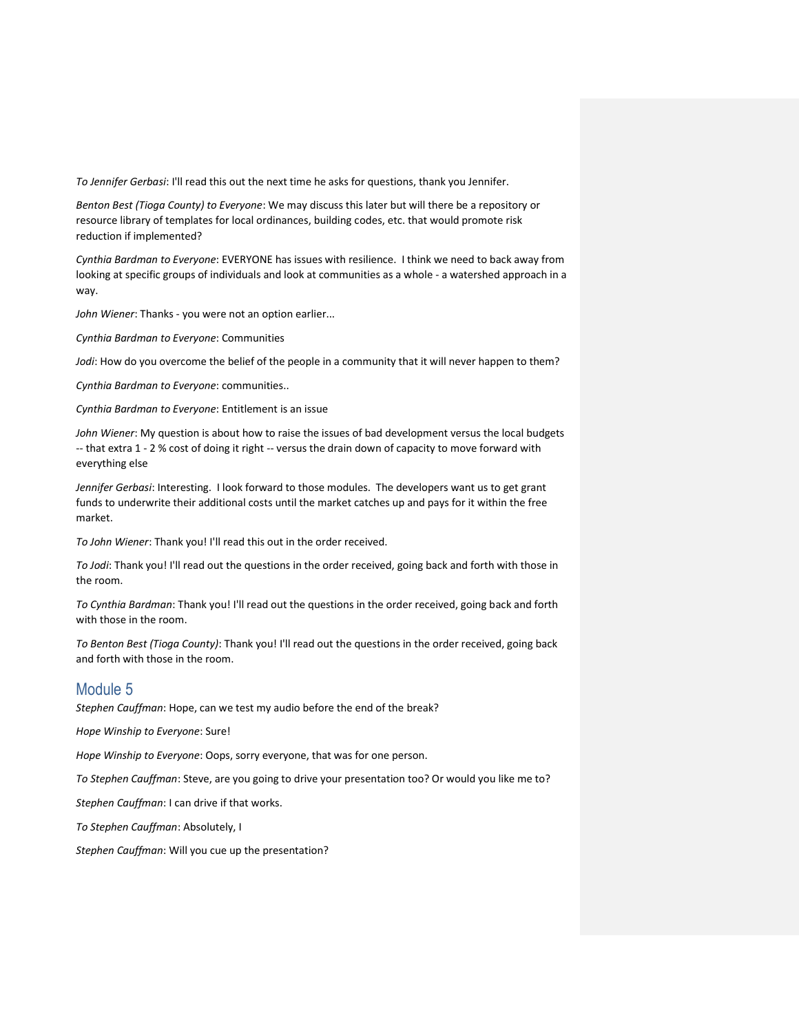*To Jennifer Gerbasi*: I'll read this out the next time he asks for questions, thank you Jennifer.

*Benton Best (Tioga County) to Everyone*: We may discuss this later but will there be a repository or resource library of templates for local ordinances, building codes, etc. that would promote risk reduction if implemented?

*Cynthia Bardman to Everyone*: EVERYONE has issues with resilience. I think we need to back away from looking at specific groups of individuals and look at communities as a whole - a watershed approach in a way.

*John Wiener*: Thanks - you were not an option earlier...

*Cynthia Bardman to Everyone*: Communities

*Jodi*: How do you overcome the belief of the people in a community that it will never happen to them?

*Cynthia Bardman to Everyone*: communities..

*Cynthia Bardman to Everyone*: Entitlement is an issue

*John Wiener*: My question is about how to raise the issues of bad development versus the local budgets -- that extra 1 - 2 % cost of doing it right -- versus the drain down of capacity to move forward with everything else

*Jennifer Gerbasi*: Interesting. I look forward to those modules. The developers want us to get grant funds to underwrite their additional costs until the market catches up and pays for it within the free market.

*To John Wiener*: Thank you! I'll read this out in the order received.

*To Jodi*: Thank you! I'll read out the questions in the order received, going back and forth with those in the room.

*To Cynthia Bardman*: Thank you! I'll read out the questions in the order received, going back and forth with those in the room.

*To Benton Best (Tioga County)*: Thank you! I'll read out the questions in the order received, going back and forth with those in the room.

#### Module 5

*Stephen Cauffman*: Hope, can we test my audio before the end of the break?

*Hope Winship to Everyone*: Sure!

*Hope Winship to Everyone*: Oops, sorry everyone, that was for one person.

*To Stephen Cauffman*: Steve, are you going to drive your presentation too? Or would you like me to?

*Stephen Cauffman*: I can drive if that works.

*To Stephen Cauffman*: Absolutely, I

*Stephen Cauffman*: Will you cue up the presentation?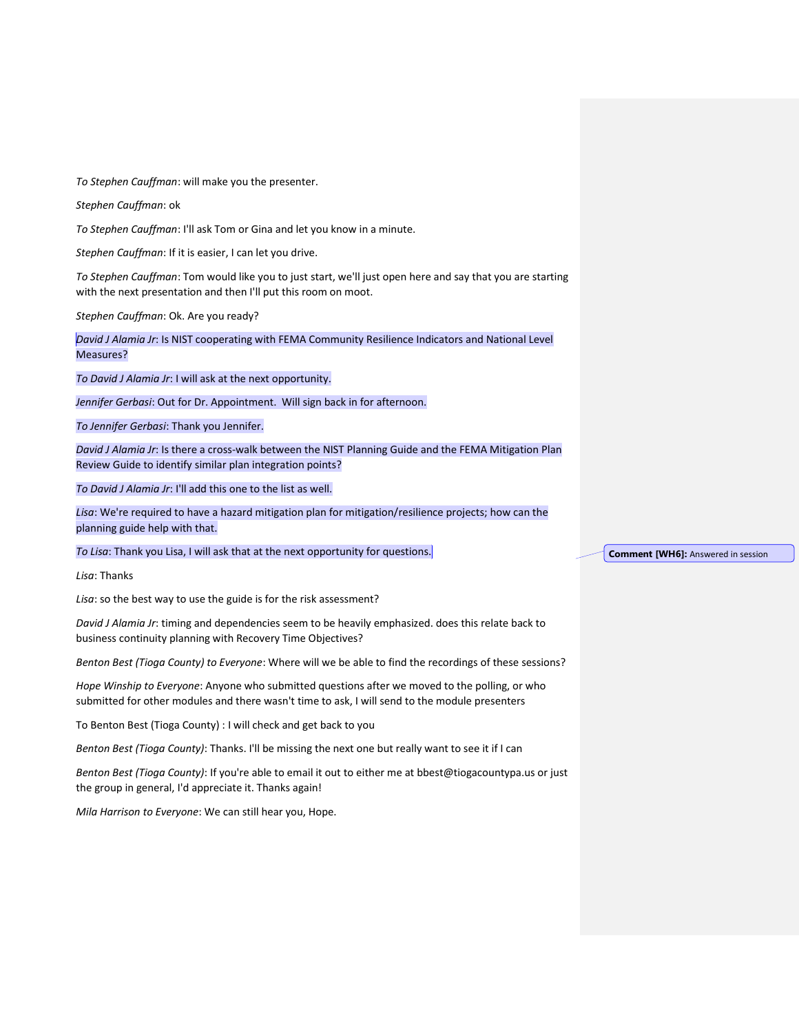*To Stephen Cauffman*: will make you the presenter.

*Stephen Cauffman*: ok

*To Stephen Cauffman*: I'll ask Tom or Gina and let you know in a minute.

*Stephen Cauffman*: If it is easier, I can let you drive.

*To Stephen Cauffman*: Tom would like you to just start, we'll just open here and say that you are starting with the next presentation and then I'll put this room on moot.

*Stephen Cauffman*: Ok. Are you ready?

*David J Alamia Jr*: Is NIST cooperating with FEMA Community Resilience Indicators and National Level Measures?

*To David J Alamia Jr*: I will ask at the next opportunity.

*Jennifer Gerbasi*: Out for Dr. Appointment. Will sign back in for afternoon.

*To Jennifer Gerbasi*: Thank you Jennifer.

*David J Alamia Jr*: Is there a cross-walk between the NIST Planning Guide and the FEMA Mitigation Plan Review Guide to identify similar plan integration points?

*To David J Alamia Jr*: I'll add this one to the list as well.

*Lisa*: We're required to have a hazard mitigation plan for mitigation/resilience projects; how can the planning guide help with that.

*To Lisa*: Thank you Lisa, I will ask that at the next opportunity for questions.

*Lisa*: Thanks

*Lisa*: so the best way to use the guide is for the risk assessment?

*David J Alamia Jr*: timing and dependencies seem to be heavily emphasized. does this relate back to business continuity planning with Recovery Time Objectives?

*Benton Best (Tioga County) to Everyone*: Where will we be able to find the recordings of these sessions?

*Hope Winship to Everyone*: Anyone who submitted questions after we moved to the polling, or who submitted for other modules and there wasn't time to ask, I will send to the module presenters

To Benton Best (Tioga County) : I will check and get back to you

*Benton Best (Tioga County)*: Thanks. I'll be missing the next one but really want to see it if I can

*Benton Best (Tioga County)*: If you're able to email it out to either me at bbest@tiogacountypa.us or just the group in general, I'd appreciate it. Thanks again!

*Mila Harrison to Everyone*: We can still hear you, Hope.

**Comment [WH6]:** Answered in session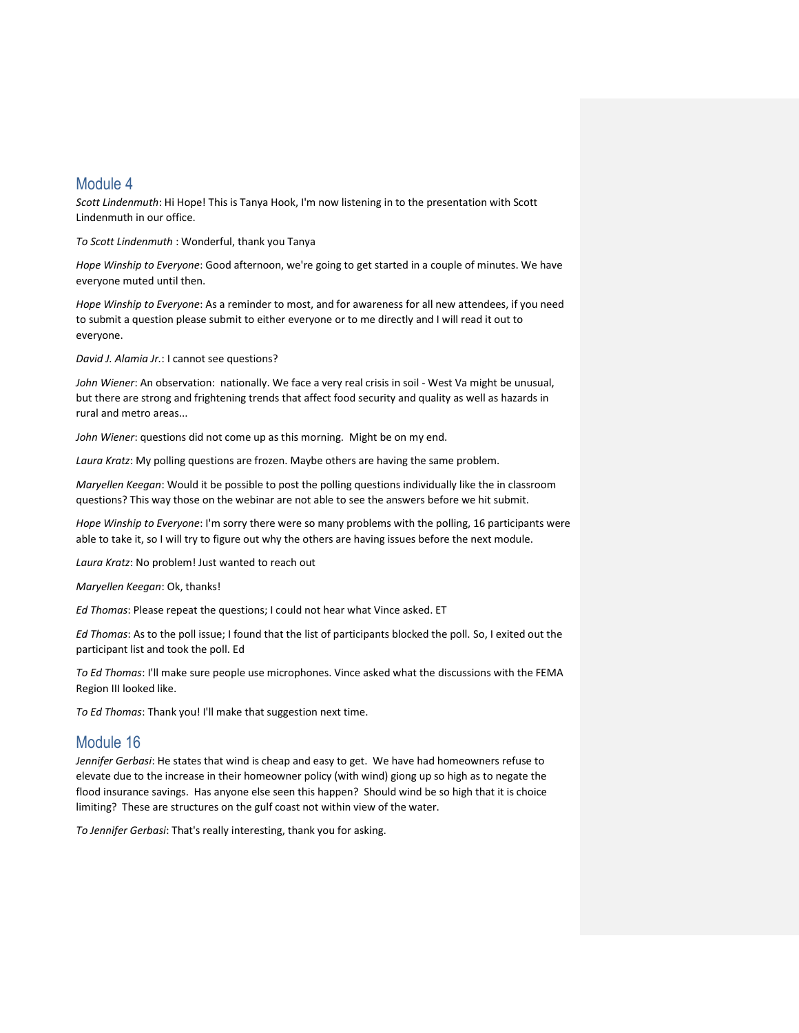# Module 4

*Scott Lindenmuth*: Hi Hope! This is Tanya Hook, I'm now listening in to the presentation with Scott Lindenmuth in our office.

*To Scott Lindenmuth* : Wonderful, thank you Tanya

*Hope Winship to Everyone*: Good afternoon, we're going to get started in a couple of minutes. We have everyone muted until then.

*Hope Winship to Everyone*: As a reminder to most, and for awareness for all new attendees, if you need to submit a question please submit to either everyone or to me directly and I will read it out to everyone.

*David J. Alamia Jr.*: I cannot see questions?

*John Wiener*: An observation: nationally. We face a very real crisis in soil - West Va might be unusual, but there are strong and frightening trends that affect food security and quality as well as hazards in rural and metro areas...

*John Wiener*: questions did not come up as this morning. Might be on my end.

*Laura Kratz*: My polling questions are frozen. Maybe others are having the same problem.

*Maryellen Keegan*: Would it be possible to post the polling questions individually like the in classroom questions? This way those on the webinar are not able to see the answers before we hit submit.

*Hope Winship to Everyone*: I'm sorry there were so many problems with the polling, 16 participants were able to take it, so I will try to figure out why the others are having issues before the next module.

*Laura Kratz*: No problem! Just wanted to reach out

*Maryellen Keegan*: Ok, thanks!

*Ed Thomas*: Please repeat the questions; I could not hear what Vince asked. ET

*Ed Thomas*: As to the poll issue; I found that the list of participants blocked the poll. So, I exited out the participant list and took the poll. Ed

*To Ed Thomas*: I'll make sure people use microphones. Vince asked what the discussions with the FEMA Region III looked like.

*To Ed Thomas*: Thank you! I'll make that suggestion next time.

# Module 16

*Jennifer Gerbasi*: He states that wind is cheap and easy to get. We have had homeowners refuse to elevate due to the increase in their homeowner policy (with wind) giong up so high as to negate the flood insurance savings. Has anyone else seen this happen? Should wind be so high that it is choice limiting? These are structures on the gulf coast not within view of the water.

*To Jennifer Gerbasi*: That's really interesting, thank you for asking.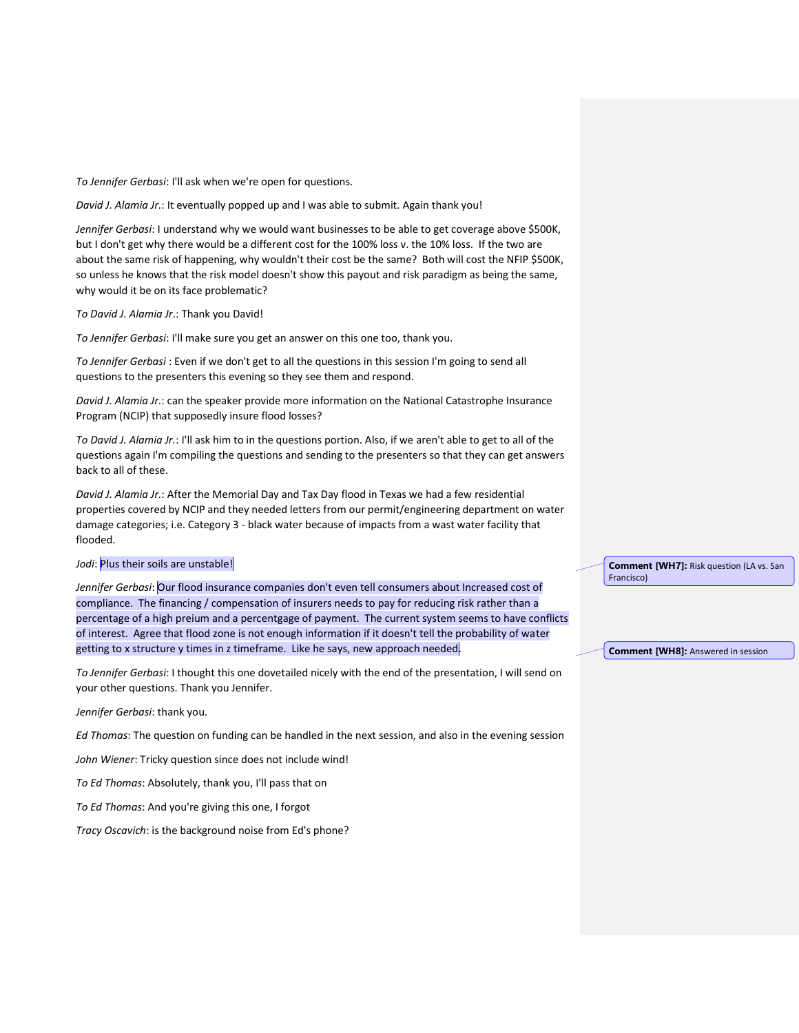*To Jennifer Gerbasi*: I'll ask when we're open for questions.

*David J. Alamia Jr.*: It eventually popped up and I was able to submit. Again thank you!

*Jennifer Gerbasi*: I understand why we would want businesses to be able to get coverage above \$500K, but I don't get why there would be a different cost for the 100% loss v. the 10% loss. If the two are about the same risk of happening, why wouldn't their cost be the same? Both will cost the NFIP \$500K, so unless he knows that the risk model doesn't show this payout and risk paradigm as being the same, why would it be on its face problematic?

*To David J. Alamia Jr*.: Thank you David!

*To Jennifer Gerbasi*: I'll make sure you get an answer on this one too, thank you.

*To Jennifer Gerbasi* : Even if we don't get to all the questions in this session I'm going to send all questions to the presenters this evening so they see them and respond.

*David J. Alamia Jr.*: can the speaker provide more information on the National Catastrophe Insurance Program (NCIP) that supposedly insure flood losses?

*To David J. Alamia Jr.*: I'll ask him to in the questions portion. Also, if we aren't able to get to all of the questions again I'm compiling the questions and sending to the presenters so that they can get answers back to all of these.

*David J. Alamia Jr.*: After the Memorial Day and Tax Day flood in Texas we had a few residential properties covered by NCIP and they needed letters from our permit/engineering department on water damage categories; i.e. Category 3 - black water because of impacts from a wast water facility that flooded.

#### *Jodi*: Plus their soils are unstable!

*Jennifer Gerbasi*: Our flood insurance companies don't even tell consumers about Increased cost of compliance. The financing / compensation of insurers needs to pay for reducing risk rather than a percentage of a high preium and a percentgage of payment. The current system seems to have conflicts of interest. Agree that flood zone is not enough information if it doesn't tell the probability of water getting to x structure y times in z timeframe. Like he says, new approach needed.

*To Jennifer Gerbasi*: I thought this one dovetailed nicely with the end of the presentation, I will send on your other questions. Thank you Jennifer.

*Jennifer Gerbasi*: thank you.

*Ed Thomas*: The question on funding can be handled in the next session, and also in the evening session

*John Wiener*: Tricky question since does not include wind!

*To Ed Thomas*: Absolutely, thank you, I'll pass that on

*To Ed Thomas*: And you're giving this one, I forgot

*Tracy Oscavich*: is the background noise from Ed's phone?

**Comment [WH7]:** Risk question (LA vs. San Francisco)

**Comment [WH8]:** Answered in session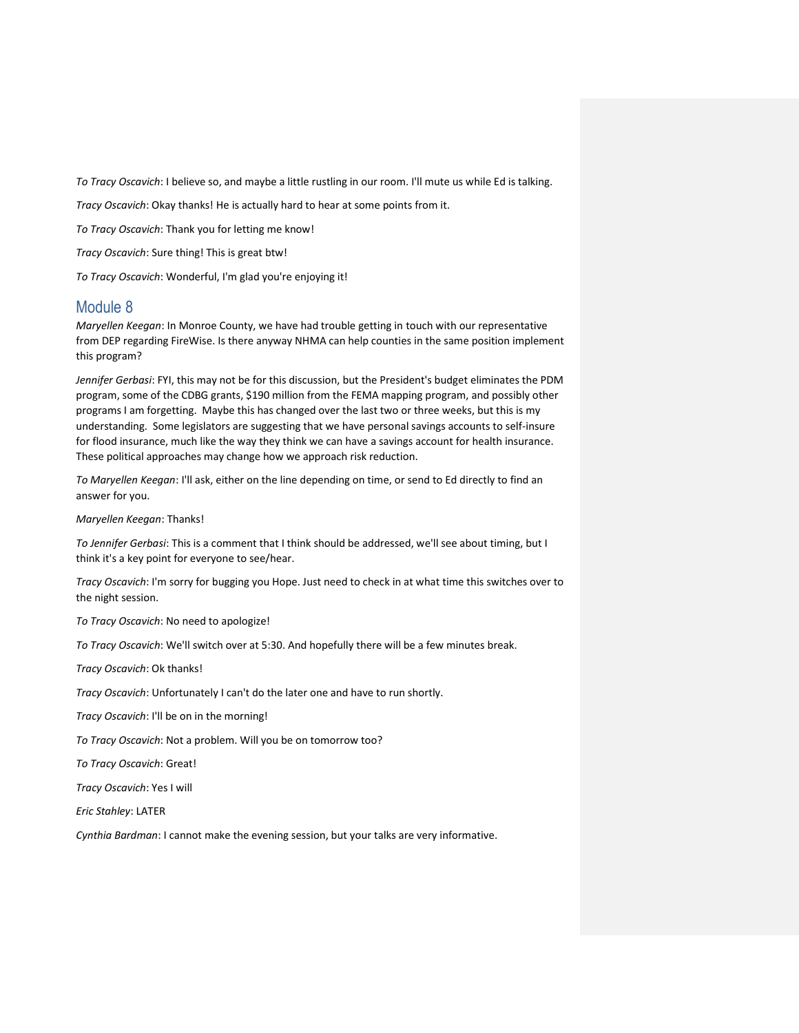*To Tracy Oscavich*: I believe so, and maybe a little rustling in our room. I'll mute us while Ed is talking.

*Tracy Oscavich*: Okay thanks! He is actually hard to hear at some points from it.

*To Tracy Oscavich*: Thank you for letting me know!

*Tracy Oscavich*: Sure thing! This is great btw!

*To Tracy Oscavich*: Wonderful, I'm glad you're enjoying it!

## Module 8

*Maryellen Keegan*: In Monroe County, we have had trouble getting in touch with our representative from DEP regarding FireWise. Is there anyway NHMA can help counties in the same position implement this program?

*Jennifer Gerbasi*: FYI, this may not be for this discussion, but the President's budget eliminates the PDM program, some of the CDBG grants, \$190 million from the FEMA mapping program, and possibly other programs I am forgetting. Maybe this has changed over the last two or three weeks, but this is my understanding. Some legislators are suggesting that we have personal savings accounts to self-insure for flood insurance, much like the way they think we can have a savings account for health insurance. These political approaches may change how we approach risk reduction.

*To Maryellen Keegan*: I'll ask, either on the line depending on time, or send to Ed directly to find an answer for you.

*Maryellen Keegan*: Thanks!

*To Jennifer Gerbasi*: This is a comment that I think should be addressed, we'll see about timing, but I think it's a key point for everyone to see/hear.

*Tracy Oscavich*: I'm sorry for bugging you Hope. Just need to check in at what time this switches over to the night session.

*To Tracy Oscavich*: No need to apologize!

*To Tracy Oscavich*: We'll switch over at 5:30. And hopefully there will be a few minutes break.

*Tracy Oscavich*: Ok thanks!

*Tracy Oscavich*: Unfortunately I can't do the later one and have to run shortly.

*Tracy Oscavich*: I'll be on in the morning!

*To Tracy Oscavich*: Not a problem. Will you be on tomorrow too?

*To Tracy Oscavich*: Great!

*Tracy Oscavich*: Yes I will

*Eric Stahley*: LATER

*Cynthia Bardman*: I cannot make the evening session, but your talks are very informative.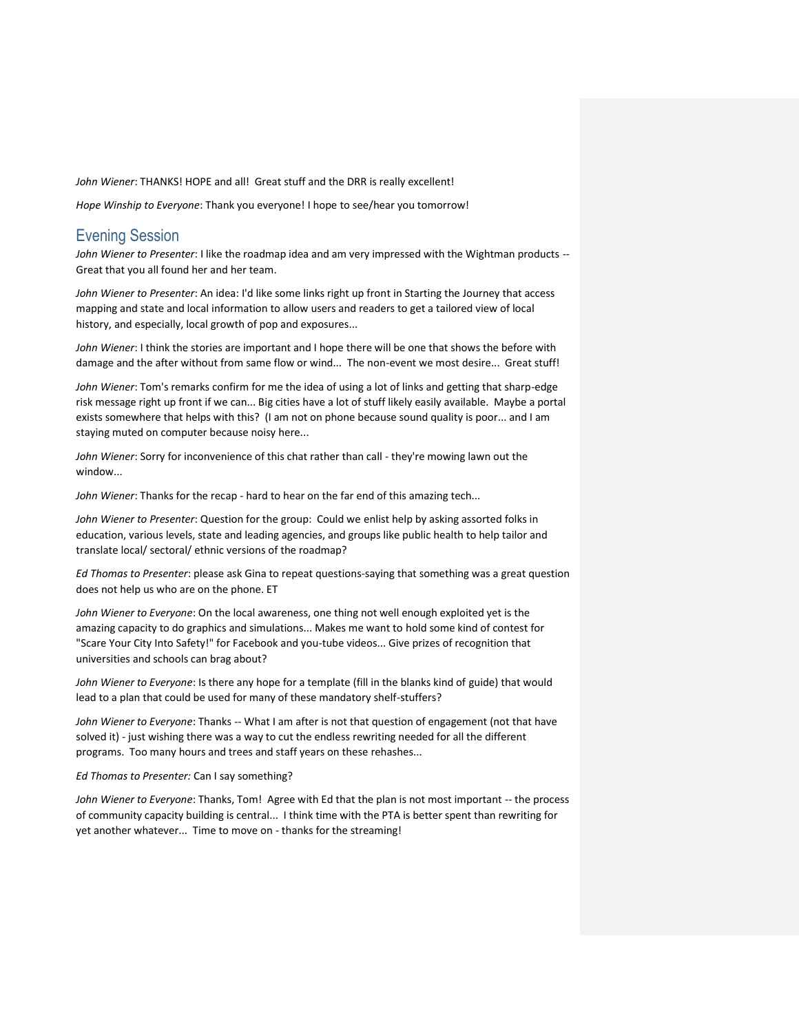*John Wiener*: THANKS! HOPE and all! Great stuff and the DRR is really excellent!

*Hope Winship to Everyone*: Thank you everyone! I hope to see/hear you tomorrow!

# Evening Session

*John Wiener to Presenter*: I like the roadmap idea and am very impressed with the Wightman products -- Great that you all found her and her team.

*John Wiener to Presenter*: An idea: I'd like some links right up front in Starting the Journey that access mapping and state and local information to allow users and readers to get a tailored view of local history, and especially, local growth of pop and exposures...

*John Wiener*: I think the stories are important and I hope there will be one that shows the before with damage and the after without from same flow or wind... The non-event we most desire... Great stuff!

*John Wiener*: Tom's remarks confirm for me the idea of using a lot of links and getting that sharp-edge risk message right up front if we can... Big cities have a lot of stuff likely easily available. Maybe a portal exists somewhere that helps with this? (I am not on phone because sound quality is poor... and I am staying muted on computer because noisy here...

*John Wiener*: Sorry for inconvenience of this chat rather than call - they're mowing lawn out the window...

*John Wiener*: Thanks for the recap - hard to hear on the far end of this amazing tech...

*John Wiener to Presenter*: Question for the group: Could we enlist help by asking assorted folks in education, various levels, state and leading agencies, and groups like public health to help tailor and translate local/ sectoral/ ethnic versions of the roadmap?

*Ed Thomas to Presenter*: please ask Gina to repeat questions-saying that something was a great question does not help us who are on the phone. ET

*John Wiener to Everyone*: On the local awareness, one thing not well enough exploited yet is the amazing capacity to do graphics and simulations... Makes me want to hold some kind of contest for "Scare Your City Into Safety!" for Facebook and you-tube videos... Give prizes of recognition that universities and schools can brag about?

*John Wiener to Everyone*: Is there any hope for a template (fill in the blanks kind of guide) that would lead to a plan that could be used for many of these mandatory shelf-stuffers?

*John Wiener to Everyone*: Thanks -- What I am after is not that question of engagement (not that have solved it) - just wishing there was a way to cut the endless rewriting needed for all the different programs. Too many hours and trees and staff years on these rehashes...

*Ed Thomas to Presenter:* Can I say something?

*John Wiener to Everyone*: Thanks, Tom! Agree with Ed that the plan is not most important -- the process of community capacity building is central... I think time with the PTA is better spent than rewriting for yet another whatever... Time to move on - thanks for the streaming!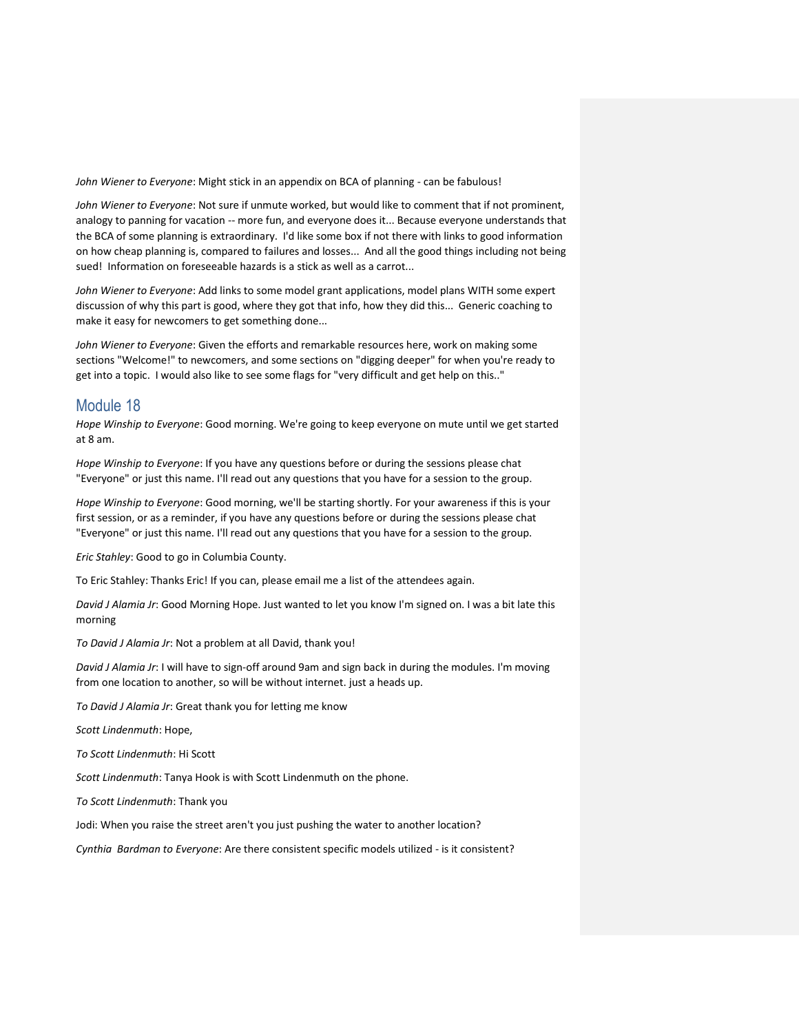*John Wiener to Everyone*: Might stick in an appendix on BCA of planning - can be fabulous!

*John Wiener to Everyone*: Not sure if unmute worked, but would like to comment that if not prominent, analogy to panning for vacation -- more fun, and everyone does it... Because everyone understands that the BCA of some planning is extraordinary. I'd like some box if not there with links to good information on how cheap planning is, compared to failures and losses... And all the good things including not being sued! Information on foreseeable hazards is a stick as well as a carrot...

*John Wiener to Everyone*: Add links to some model grant applications, model plans WITH some expert discussion of why this part is good, where they got that info, how they did this... Generic coaching to make it easy for newcomers to get something done...

*John Wiener to Everyone*: Given the efforts and remarkable resources here, work on making some sections "Welcome!" to newcomers, and some sections on "digging deeper" for when you're ready to get into a topic. I would also like to see some flags for "very difficult and get help on this.."

### Module 18

*Hope Winship to Everyone*: Good morning. We're going to keep everyone on mute until we get started at 8 am.

*Hope Winship to Everyone*: If you have any questions before or during the sessions please chat "Everyone" or just this name. I'll read out any questions that you have for a session to the group.

*Hope Winship to Everyone*: Good morning, we'll be starting shortly. For your awareness if this is your first session, or as a reminder, if you have any questions before or during the sessions please chat "Everyone" or just this name. I'll read out any questions that you have for a session to the group.

*Eric Stahley*: Good to go in Columbia County.

To Eric Stahley: Thanks Eric! If you can, please email me a list of the attendees again.

*David J Alamia Jr*: Good Morning Hope. Just wanted to let you know I'm signed on. I was a bit late this morning

*To David J Alamia Jr*: Not a problem at all David, thank you!

*David J Alamia Jr*: I will have to sign-off around 9am and sign back in during the modules. I'm moving from one location to another, so will be without internet. just a heads up.

*To David J Alamia Jr*: Great thank you for letting me know

*Scott Lindenmuth*: Hope,

*To Scott Lindenmuth*: Hi Scott

*Scott Lindenmuth*: Tanya Hook is with Scott Lindenmuth on the phone.

*To Scott Lindenmuth*: Thank you

Jodi: When you raise the street aren't you just pushing the water to another location?

*Cynthia Bardman to Everyone*: Are there consistent specific models utilized - is it consistent?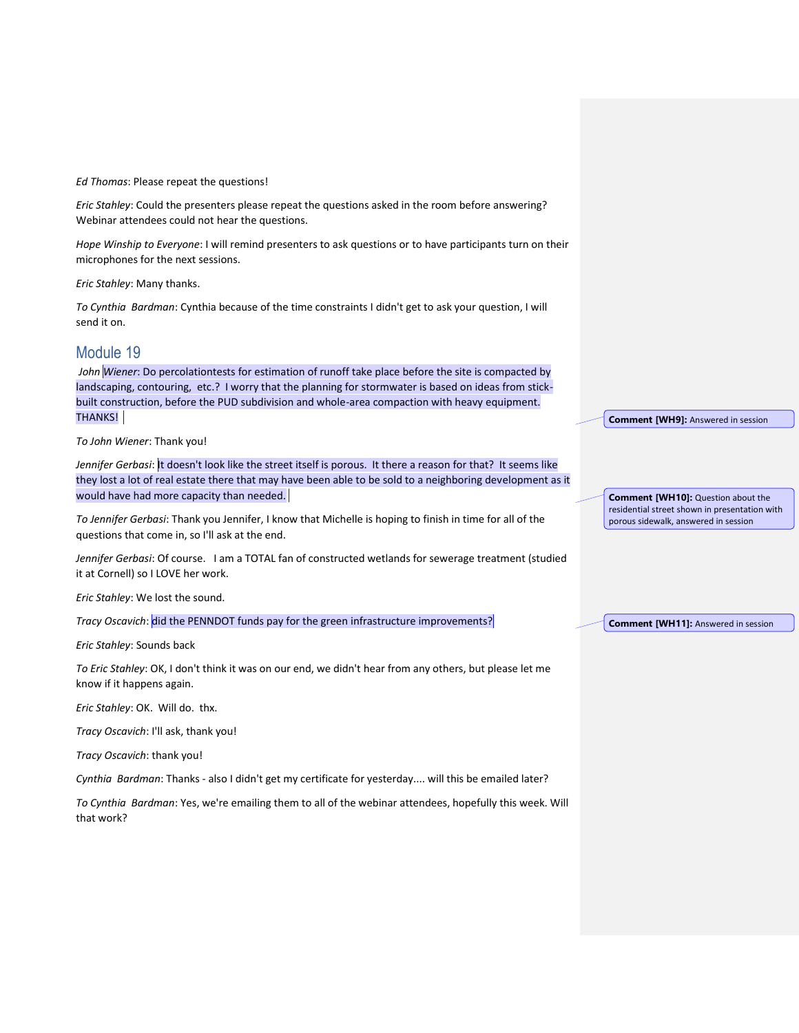*Ed Thomas*: Please repeat the questions!

*Eric Stahley*: Could the presenters please repeat the questions asked in the room before answering? Webinar attendees could not hear the questions.

*Hope Winship to Everyone*: I will remind presenters to ask questions or to have participants turn on their microphones for the next sessions.

*Eric Stahley*: Many thanks.

*To Cynthia Bardman*: Cynthia because of the time constraints I didn't get to ask your question, I will send it on.

## Module 19

*John Wiener*: Do percolationtests for estimation of runoff take place before the site is compacted by landscaping, contouring, etc.? I worry that the planning for stormwater is based on ideas from stickbuilt construction, before the PUD subdivision and whole-area compaction with heavy equipment. THANKS!

*To John Wiener*: Thank you!

*Jennifer Gerbasi*: It doesn't look like the street itself is porous. It there a reason for that? It seems like they lost a lot of real estate there that may have been able to be sold to a neighboring development as it would have had more capacity than needed.

*To Jennifer Gerbasi*: Thank you Jennifer, I know that Michelle is hoping to finish in time for all of the questions that come in, so I'll ask at the end.

*Jennifer Gerbasi*: Of course. I am a TOTAL fan of constructed wetlands for sewerage treatment (studied it at Cornell) so I LOVE her work.

*Eric Stahley*: We lost the sound.

*Tracy Oscavich*: did the PENNDOT funds pay for the green infrastructure improvements?

*Eric Stahley*: Sounds back

*To Eric Stahley*: OK, I don't think it was on our end, we didn't hear from any others, but please let me know if it happens again.

*Eric Stahley*: OK. Will do. thx.

*Tracy Oscavich*: I'll ask, thank you!

*Tracy Oscavich*: thank you!

*Cynthia Bardman*: Thanks - also I didn't get my certificate for yesterday.... will this be emailed later?

*To Cynthia Bardman*: Yes, we're emailing them to all of the webinar attendees, hopefully this week. Will that work?

**Comment [WH9]:** Answered in session

**Comment [WH10]:** Question about the residential street shown in presentation with porous sidewalk, answered in session

**Comment [WH11]:** Answered in session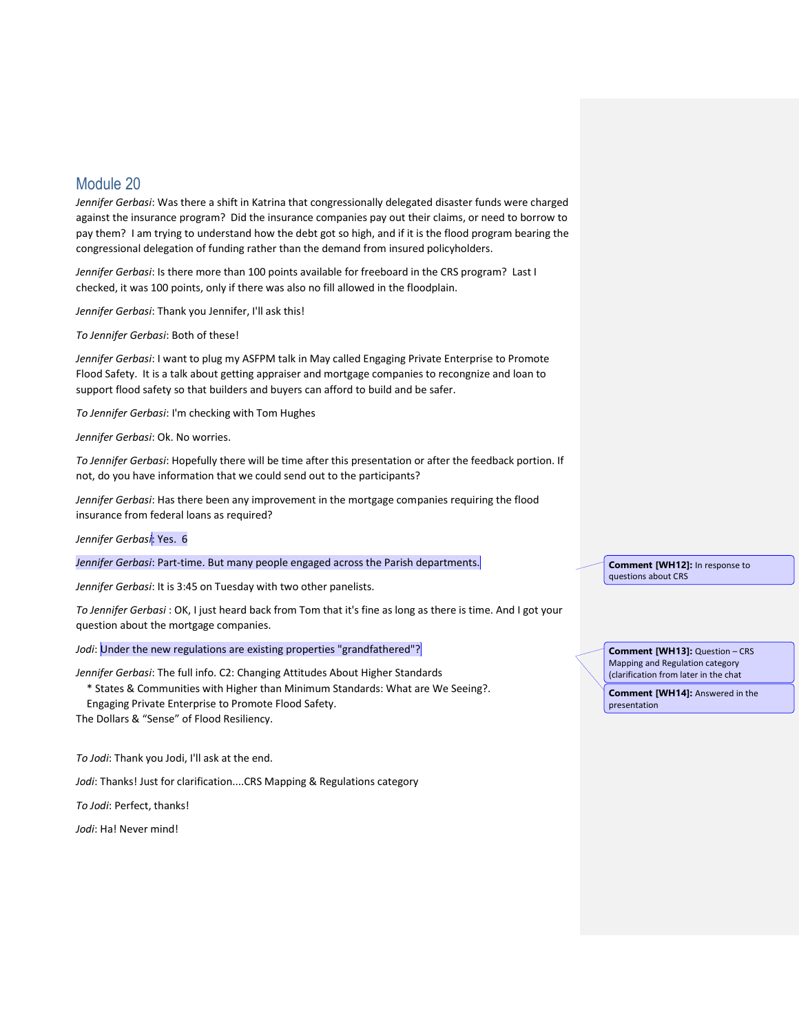# Module 20

*Jennifer Gerbasi*: Was there a shift in Katrina that congressionally delegated disaster funds were charged against the insurance program? Did the insurance companies pay out their claims, or need to borrow to pay them? I am trying to understand how the debt got so high, and if it is the flood program bearing the congressional delegation of funding rather than the demand from insured policyholders.

*Jennifer Gerbasi*: Is there more than 100 points available for freeboard in the CRS program? Last I checked, it was 100 points, only if there was also no fill allowed in the floodplain.

*Jennifer Gerbasi*: Thank you Jennifer, I'll ask this!

*To Jennifer Gerbasi*: Both of these!

*Jennifer Gerbasi*: I want to plug my ASFPM talk in May called Engaging Private Enterprise to Promote Flood Safety. It is a talk about getting appraiser and mortgage companies to recongnize and loan to support flood safety so that builders and buyers can afford to build and be safer.

*To Jennifer Gerbasi*: I'm checking with Tom Hughes

*Jennifer Gerbasi*: Ok. No worries.

*To Jennifer Gerbasi*: Hopefully there will be time after this presentation or after the feedback portion. If not, do you have information that we could send out to the participants?

*Jennifer Gerbasi*: Has there been any improvement in the mortgage companies requiring the flood insurance from federal loans as required?

*Jennifer Gerbasi*: Yes. 6

*Jennifer Gerbasi*: Part-time. But many people engaged across the Parish departments.

*Jennifer Gerbasi*: It is 3:45 on Tuesday with two other panelists.

*To Jennifer Gerbasi* : OK, I just heard back from Tom that it's fine as long as there is time. And I got your question about the mortgage companies.

Jodi: Under the new regulations are existing properties "grandfathered"?

*Jennifer Gerbasi*: The full info. C2: Changing Attitudes About Higher Standards

\* States & Communities with Higher than Minimum Standards: What are We Seeing?.

Engaging Private Enterprise to Promote Flood Safety.

The Dollars & "Sense" of Flood Resiliency.

*To Jodi*: Thank you Jodi, I'll ask at the end.

*Jodi*: Thanks! Just for clarification....CRS Mapping & Regulations category

*To Jodi*: Perfect, thanks!

*Jodi*: Ha! Never mind!

**Comment [WH12]:** In response to questions about CRS

**Comment [WH13]:** Question – CRS Mapping and Regulation category (clarification from later in the chat

**Comment [WH14]:** Answered in the presentation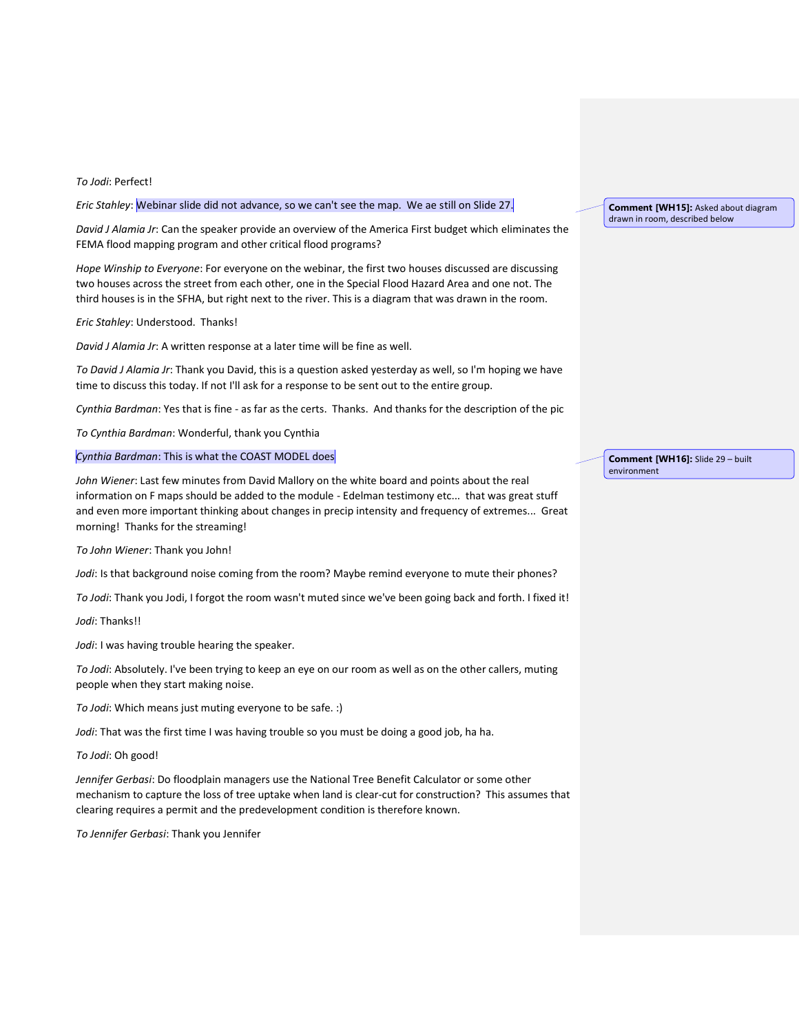#### *To Jodi*: Perfect!

*Eric Stahley*: Webinar slide did not advance, so we can't see the map. We ae still on Slide 27.

*David J Alamia Jr*: Can the speaker provide an overview of the America First budget which eliminates the FEMA flood mapping program and other critical flood programs?

*Hope Winship to Everyone*: For everyone on the webinar, the first two houses discussed are discussing two houses across the street from each other, one in the Special Flood Hazard Area and one not. The third houses is in the SFHA, but right next to the river. This is a diagram that was drawn in the room.

*Eric Stahley*: Understood. Thanks!

*David J Alamia Jr*: A written response at a later time will be fine as well.

*To David J Alamia Jr*: Thank you David, this is a question asked yesterday as well, so I'm hoping we have time to discuss this today. If not I'll ask for a response to be sent out to the entire group.

*Cynthia Bardman*: Yes that is fine - as far as the certs. Thanks. And thanks for the description of the pic

*To Cynthia Bardman*: Wonderful, thank you Cynthia

#### *Cynthia Bardman*: This is what the COAST MODEL does

*John Wiener*: Last few minutes from David Mallory on the white board and points about the real information on F maps should be added to the module - Edelman testimony etc... that was great stuff and even more important thinking about changes in precip intensity and frequency of extremes... Great morning! Thanks for the streaming!

*To John Wiener*: Thank you John!

*Jodi*: Is that background noise coming from the room? Maybe remind everyone to mute their phones?

*To Jodi*: Thank you Jodi, I forgot the room wasn't muted since we've been going back and forth. I fixed it!

*Jodi*: Thanks!!

*Jodi*: I was having trouble hearing the speaker.

*To Jodi*: Absolutely. I've been trying to keep an eye on our room as well as on the other callers, muting people when they start making noise.

*To Jodi*: Which means just muting everyone to be safe. :)

*Jodi*: That was the first time I was having trouble so you must be doing a good job, ha ha.

*To Jodi*: Oh good!

*Jennifer Gerbasi*: Do floodplain managers use the National Tree Benefit Calculator or some other mechanism to capture the loss of tree uptake when land is clear-cut for construction? This assumes that clearing requires a permit and the predevelopment condition is therefore known.

*To Jennifer Gerbasi*: Thank you Jennifer

**Comment [WH15]:** Asked about diagram drawn in room, described below

**Comment [WH16]:** Slide 29 – built environment